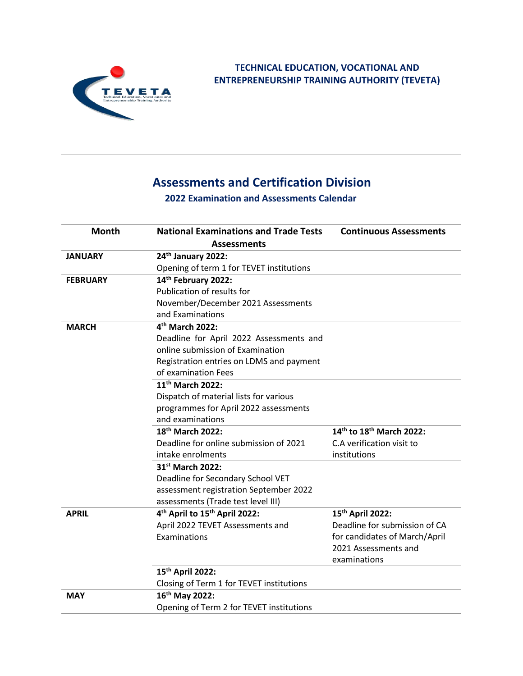

## **Assessments and Certification Division**

**2022 Examination and Assessments Calendar**

| <b>Month</b>    | <b>National Examinations and Trade Tests</b>          | <b>Continuous Assessments</b> |
|-----------------|-------------------------------------------------------|-------------------------------|
|                 | <b>Assessments</b>                                    |                               |
| <b>JANUARY</b>  | 24 <sup>th</sup> January 2022:                        |                               |
|                 | Opening of term 1 for TEVET institutions              |                               |
| <b>FEBRUARY</b> | 14th February 2022:                                   |                               |
|                 | Publication of results for                            |                               |
|                 | November/December 2021 Assessments                    |                               |
|                 | and Examinations                                      |                               |
| <b>MARCH</b>    | 4 <sup>th</sup> March 2022:                           |                               |
|                 | Deadline for April 2022 Assessments and               |                               |
|                 | online submission of Examination                      |                               |
|                 | Registration entries on LDMS and payment              |                               |
|                 | of examination Fees                                   |                               |
|                 | 11 <sup>th</sup> March 2022:                          |                               |
|                 | Dispatch of material lists for various                |                               |
|                 | programmes for April 2022 assessments                 |                               |
|                 | and examinations                                      |                               |
|                 | 18 <sup>th</sup> March 2022:                          | 14th to 18th March 2022:      |
|                 | Deadline for online submission of 2021                | C.A verification visit to     |
|                 | intake enrolments                                     | institutions                  |
|                 | 31 <sup>st</sup> March 2022:                          |                               |
|                 | Deadline for Secondary School VET                     |                               |
|                 | assessment registration September 2022                |                               |
|                 | assessments (Trade test level III)                    |                               |
| <b>APRIL</b>    | 4 <sup>th</sup> April to 15 <sup>th</sup> April 2022: | 15 <sup>th</sup> April 2022:  |
|                 | April 2022 TEVET Assessments and                      | Deadline for submission of CA |
|                 | Examinations                                          | for candidates of March/April |
|                 |                                                       | 2021 Assessments and          |
|                 |                                                       | examinations                  |
|                 | 15th April 2022:                                      |                               |
|                 | Closing of Term 1 for TEVET institutions              |                               |
| <b>MAY</b>      | 16 <sup>th</sup> May 2022:                            |                               |
|                 | Opening of Term 2 for TEVET institutions              |                               |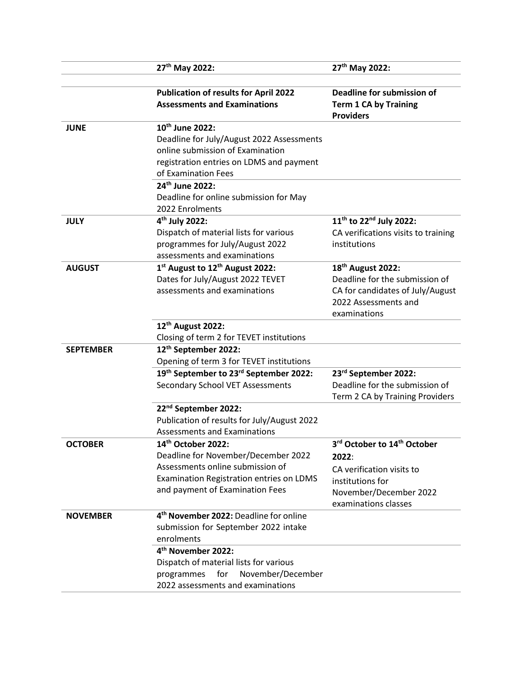|                  | 27th May 2022:                                                                                                                                                                         | 27th May 2022:                                                                                                                              |
|------------------|----------------------------------------------------------------------------------------------------------------------------------------------------------------------------------------|---------------------------------------------------------------------------------------------------------------------------------------------|
|                  |                                                                                                                                                                                        |                                                                                                                                             |
|                  | <b>Publication of results for April 2022</b><br><b>Assessments and Examinations</b>                                                                                                    | <b>Deadline for submission of</b><br><b>Term 1 CA by Training</b><br><b>Providers</b>                                                       |
| <b>JUNE</b>      | 10th June 2022:<br>Deadline for July/August 2022 Assessments<br>online submission of Examination<br>registration entries on LDMS and payment<br>of Examination Fees<br>24th June 2022: |                                                                                                                                             |
|                  | Deadline for online submission for May<br>2022 Enrolments                                                                                                                              |                                                                                                                                             |
| <b>JULY</b>      | 4 <sup>th</sup> July 2022:<br>Dispatch of material lists for various<br>programmes for July/August 2022<br>assessments and examinations                                                | 11 <sup>th</sup> to 22 <sup>nd</sup> July 2022:<br>CA verifications visits to training<br>institutions                                      |
| <b>AUGUST</b>    | 1st August to 12th August 2022:<br>Dates for July/August 2022 TEVET<br>assessments and examinations                                                                                    | 18 <sup>th</sup> August 2022:<br>Deadline for the submission of<br>CA for candidates of July/August<br>2022 Assessments and<br>examinations |
|                  | 12 <sup>th</sup> August 2022:                                                                                                                                                          |                                                                                                                                             |
|                  | Closing of term 2 for TEVET institutions                                                                                                                                               |                                                                                                                                             |
| <b>SEPTEMBER</b> | 12th September 2022:<br>Opening of term 3 for TEVET institutions                                                                                                                       |                                                                                                                                             |
|                  | 19th September to 23rd September 2022:<br>Secondary School VET Assessments                                                                                                             | 23rd September 2022:<br>Deadline for the submission of<br>Term 2 CA by Training Providers                                                   |
|                  | 22 <sup>nd</sup> September 2022:<br>Publication of results for July/August 2022<br><b>Assessments and Examinations</b>                                                                 |                                                                                                                                             |
| <b>OCTOBER</b>   | 14th October 2022:<br>Deadline for November/December 2022<br>Assessments online submission of<br><b>Examination Registration entries on LDMS</b><br>and payment of Examination Fees    | 3rd October to 14th October<br>2022:<br>CA verification visits to<br>institutions for<br>November/December 2022<br>examinations classes     |
| <b>NOVEMBER</b>  | 4 <sup>th</sup> November 2022: Deadline for online<br>submission for September 2022 intake<br>enrolments                                                                               |                                                                                                                                             |
|                  | 4 <sup>th</sup> November 2022:<br>Dispatch of material lists for various<br>for<br>November/December<br>programmes<br>2022 assessments and examinations                                |                                                                                                                                             |